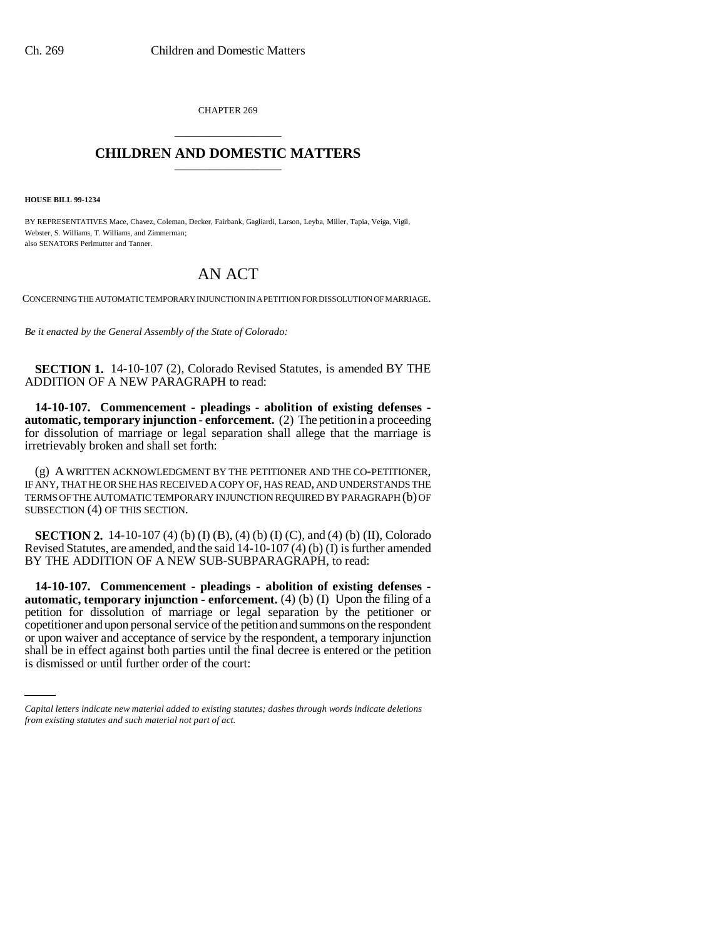CHAPTER 269 \_\_\_\_\_\_\_\_\_\_\_\_\_\_\_

## **CHILDREN AND DOMESTIC MATTERS** \_\_\_\_\_\_\_\_\_\_\_\_\_\_\_

**HOUSE BILL 99-1234**

BY REPRESENTATIVES Mace, Chavez, Coleman, Decker, Fairbank, Gagliardi, Larson, Leyba, Miller, Tapia, Veiga, Vigil, Webster, S. Williams, T. Williams, and Zimmerman; also SENATORS Perlmutter and Tanner.

## AN ACT

CONCERNING THE AUTOMATIC TEMPORARY INJUNCTION IN A PETITION FOR DISSOLUTION OF MARRIAGE.

*Be it enacted by the General Assembly of the State of Colorado:*

**SECTION 1.** 14-10-107 (2), Colorado Revised Statutes, is amended BY THE ADDITION OF A NEW PARAGRAPH to read:

**14-10-107. Commencement - pleadings - abolition of existing defenses automatic, temporary injunction - enforcement.** (2) The petition in a proceeding for dissolution of marriage or legal separation shall allege that the marriage is irretrievably broken and shall set forth:

(g) A WRITTEN ACKNOWLEDGMENT BY THE PETITIONER AND THE CO-PETITIONER, IF ANY, THAT HE OR SHE HAS RECEIVED A COPY OF, HAS READ, AND UNDERSTANDS THE TERMS OF THE AUTOMATIC TEMPORARY INJUNCTION REQUIRED BY PARAGRAPH (b) OF SUBSECTION (4) OF THIS SECTION.

**SECTION 2.** 14-10-107 (4) (b) (I) (B), (4) (b) (I) (C), and (4) (b) (II), Colorado Revised Statutes, are amended, and the said 14-10-107 (4) (b) (I) is further amended BY THE ADDITION OF A NEW SUB-SUBPARAGRAPH, to read:

or upon waiver and acceptance of service by the respondent, a temporary injunction **14-10-107. Commencement - pleadings - abolition of existing defenses automatic, temporary injunction - enforcement.** (4) (b) (I) Upon the filing of a petition for dissolution of marriage or legal separation by the petitioner or copetitioner and upon personal service of the petition and summons on the respondent shall be in effect against both parties until the final decree is entered or the petition is dismissed or until further order of the court:

*Capital letters indicate new material added to existing statutes; dashes through words indicate deletions from existing statutes and such material not part of act.*